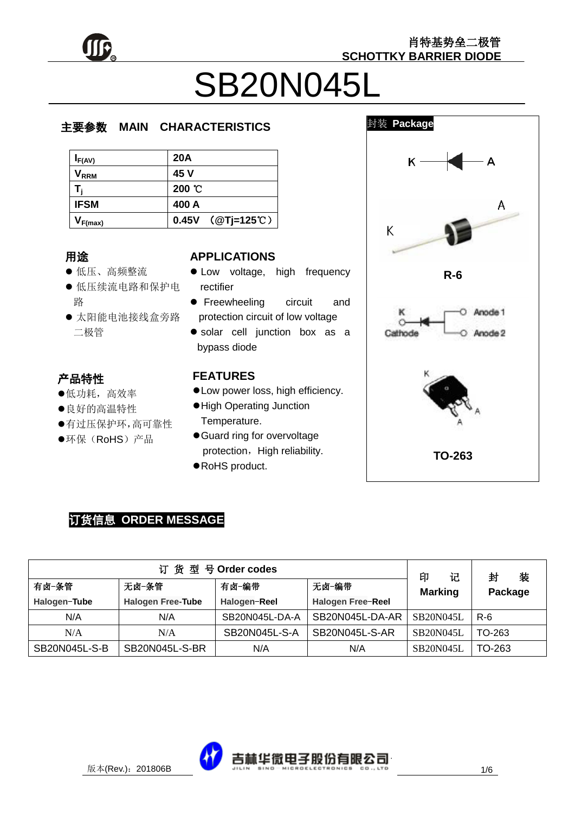

肖特基势垒二极管 **SCHOTTKY BARRIER DIODE**

# SB20N045L

### 主要参数 **MAIN CHARACTERISTICS**

| $I_{F(AV)}$             | <b>20A</b>       |
|-------------------------|------------------|
| <b>V</b> <sub>RRM</sub> | 45 V             |
|                         | 200 °C           |
| <b>IFSM</b>             | 400 A            |
| $V_{F(max)}$            | 0.45V (@Tj=125℃) |

### 用途

- んぬ<br>● 低压、高频整流
- 低压续流电路和保护电 路
- 太阳能电池接线盒旁路  $\frac{1}{4}$ 二极管

### j. 产品特性<br>。

- प<br>→ 低功耗,高效率
- ונ<br>נ 良好的高温特性
- ر د<br>+ 有过压保护环,高可靠性
- ●环保(RoHS)产品

### **APPLICATIONS**

- $\bullet$  Low voltage, high frequency rectifier
- **•** Freewheeling circuit and protection circuit of low voltage
- solar cell junction box as a bypass diode

### **FEATURES**

- Low power loss, high efficiency.
- High Operating Junction Temperature.
- Guard ring for overvoltage protection, High reliability.
- RoHS product.



### 订货信息 **ORDER MESSAGE**

| 订货型号Order codes |                          |                                          |                 | 记<br>印           | 装<br>封  |
|-----------------|--------------------------|------------------------------------------|-----------------|------------------|---------|
| 有卤-条管           | 无卤−条管                    | 无卤-编带<br>有卤-编带<br><b>Marking</b>         |                 |                  | Package |
| Halogen-Tube    | <b>Halogen Free-Tube</b> | <b>Halogen Free-Reel</b><br>Halogen-Reel |                 |                  |         |
| N/A             | N/A                      | SB20N045L-DA-A                           | SB20N045L-DA-AR | <b>SB20N045L</b> | $R-6$   |
| N/A             | N/A                      | SB20N045L-S-A                            | SB20N045L-S-AR  | <b>SB20N045L</b> | TO-263  |
| SB20N045L-S-B   | SB20N045L-S-BR           | N/A                                      | N/A             | <b>SB20N045L</b> | TO-263  |

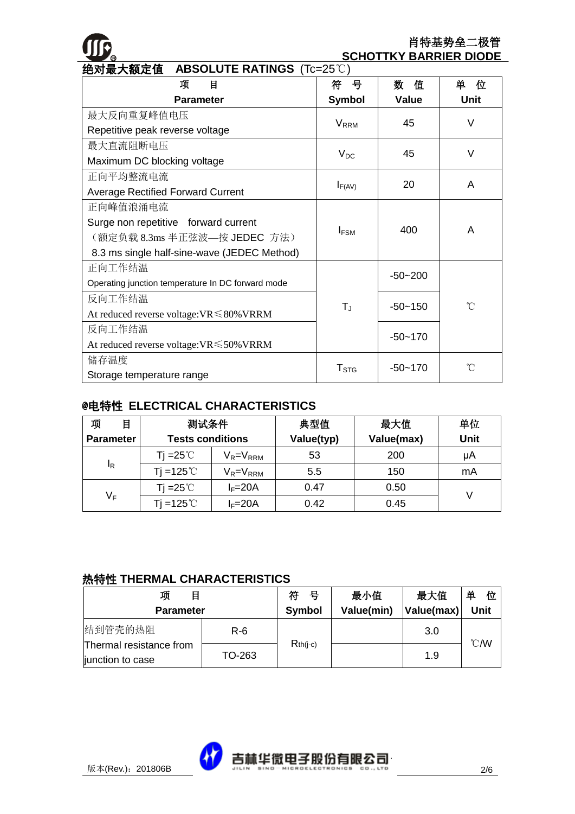## **R**

### 肖特基势垒二极管 **SCHOTTKY BARRIER DIODE**

| 绝对最大额定值<br><b>ABSOLUTE RATINGS (Tc=25°C)</b>                   |                         |             |             |  |
|----------------------------------------------------------------|-------------------------|-------------|-------------|--|
| 目<br>项                                                         | 븅<br>符                  | 数<br>值      | 单<br>位      |  |
| <b>Parameter</b>                                               | <b>Symbol</b>           | Value       | <b>Unit</b> |  |
| 最大反向重复峰值电压                                                     |                         | 45          | V           |  |
| Repetitive peak reverse voltage                                | <b>V</b> <sub>RRM</sub> |             |             |  |
| 最大直流阻断电压                                                       |                         |             | $\vee$      |  |
| Maximum DC blocking voltage                                    | $V_{DC}$                | 45          |             |  |
| 正向平均整流电流                                                       |                         | 20          | A           |  |
| <b>Average Rectified Forward Current</b>                       | $I_{F(AV)}$             |             |             |  |
| 正向峰值浪涌电流                                                       | $I_{FSM}$               |             | A           |  |
| Surge non repetitive forward current                           |                         | 400         |             |  |
| (额定负载 8.3ms 半正弦波—按 JEDEC 方法)                                   |                         |             |             |  |
| 8.3 ms single half-sine-wave (JEDEC Method)                    |                         |             |             |  |
| 正向工作结温                                                         | $T_{J}$                 | $-50 - 200$ | °C          |  |
| Operating junction temperature In DC forward mode              |                         |             |             |  |
| 反向工作结温                                                         |                         | $-50 - 150$ |             |  |
| At reduced reverse voltage: $VR \le 80\%$ VRRM                 |                         |             |             |  |
| 反向工作结温                                                         |                         |             |             |  |
| $-50 - 170$<br>At reduced reverse voltage: $VR \leq 50\%$ VRRM |                         |             |             |  |
| 储存温度<br>$-50 - 170$                                            |                         |             | °C          |  |
| Storage temperature range                                      | $T_{\mathtt{STG}}$      |             |             |  |

### @电特性 **ELECTRICAL CHARACTERISTICS**

| 项<br>目           | 测试条件                               |                 | 典型值        | 最大值        | 单位          |
|------------------|------------------------------------|-----------------|------------|------------|-------------|
| <b>Parameter</b> | <b>Tests conditions</b>            |                 | Value(typ) | Value(max) | <b>Unit</b> |
|                  | Ti =25℃                            | $V_R = V_{RRM}$ | 53         | 200        | μA          |
| ΙŖ               | Tj =125 $^{\circ}$ C               | $V_R = V_{RRM}$ | 5.5        | 150        | mA          |
| $V_F$            | Ti =25℃                            | $I_F = 20A$     | 0.47       | 0.50       |             |
|                  | Ti =125 $^\circ\hspace{-0.15cm}$ C | $I_F = 20A$     | 0.42       | 0.45       |             |

### 热特性 **THERMAL CHARACTERISTICS**

| 项<br>目                                      | 符<br>号 | 最小值           | 最大值        | 单<br>位     |                  |
|---------------------------------------------|--------|---------------|------------|------------|------------------|
| <b>Parameter</b>                            |        | <b>Symbol</b> | Value(min) | Value(max) | <b>Unit</b>      |
| 结到管壳的热阻                                     | R-6    |               |            | 3.0        |                  |
| Thermal resistance from<br>junction to case | TO-263 | $Rth(i-c)$    |            | 1.9        | $\mathcal{C}$ MV |

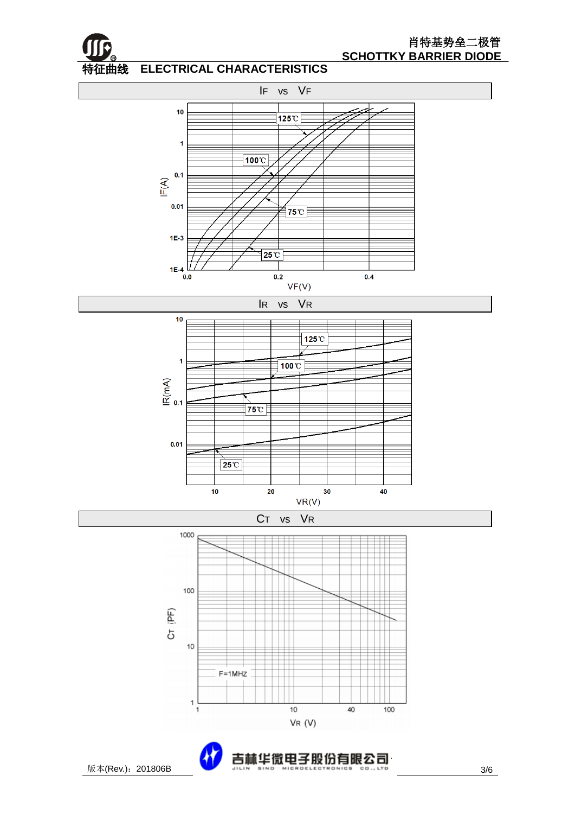

### 特征曲线 特征曲线 **ELECTRICAL CHARACTERISTICS**



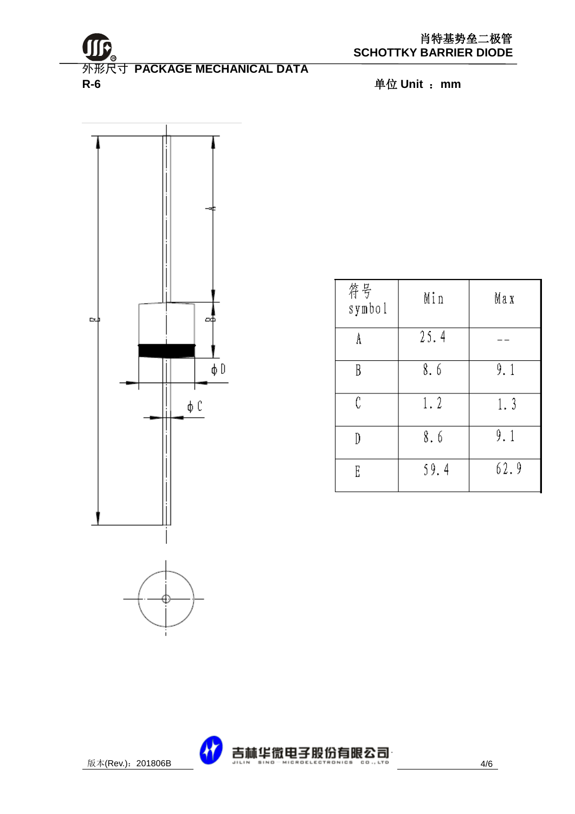



| 符号<br>symbol | Min  | Max  |
|--------------|------|------|
| A            | 25.4 |      |
| B            | 8.6  | 9.1  |
| Ĉ            | 1.2  | 1.3  |
|              | 8.6  | 9.1  |
| E            | 59.4 | 62.9 |

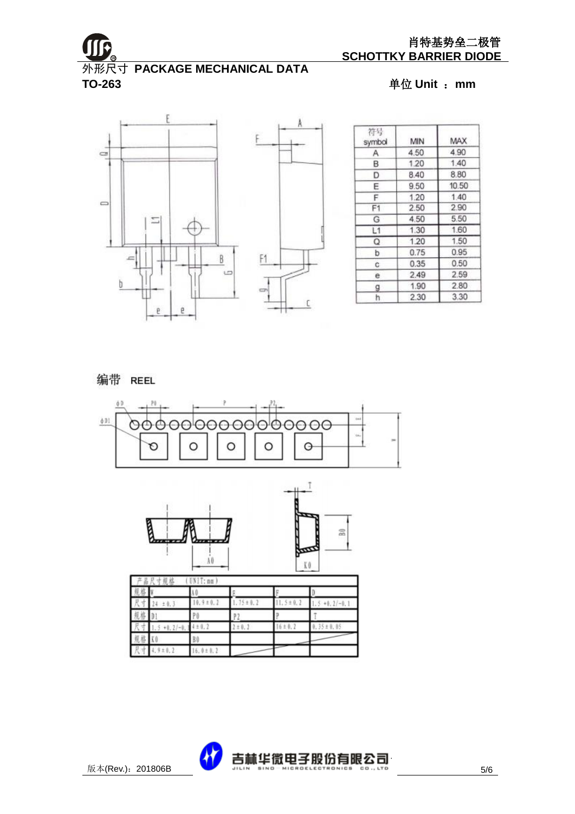

外形尺寸 **PACKAGE MECHANICAL DATA TO-263** 单位 **Unit** :**mm**



| 符号<br>symbol   | MIN  | MAX   |
|----------------|------|-------|
| Α              | 4.50 | 4.90  |
| B              | 1.20 | 1.40  |
| D              | 8.40 | 8.80  |
| E              | 9.50 | 10.50 |
| F              | 1.20 | 1.40  |
| F <sub>1</sub> | 2.50 | 2.90  |
| G              | 4.50 | 5.50  |
| L1             | 1.30 | 1.60  |
| O              | 1.20 | 1.50  |
| b              | 0.75 | 0.95  |
| с              | 0.35 | 0.50  |
| е              | 2.49 | 2.59  |
| g              | 1.90 | 2.80  |
| ħ              | 2.30 | 3.30  |

### 编带 REEL





|        | UNI:nn)<br>g.<br>尺寸规格 |               |             |                |                 |
|--------|-----------------------|---------------|-------------|----------------|-----------------|
|        |                       |               |             |                |                 |
| ÷      | ± 0.3                 | $0.9 \pm 0.1$ | $.15 + 0.2$ | $1, 5 \pm 0.2$ | $.5 + 0.2/-0.1$ |
| 兽<br>服 |                       | P 0           |             |                |                 |
|        | $.5 + 0.2/-0.$        | ±0.2          | ± 0.1       | 6 ± 0.2        | 0.35±0.05       |
| 规格     |                       | BO            |             |                |                 |
| 尺寸     | $4.9 \pm 0.2$         | $6.0 \pm 0.2$ |             |                |                 |